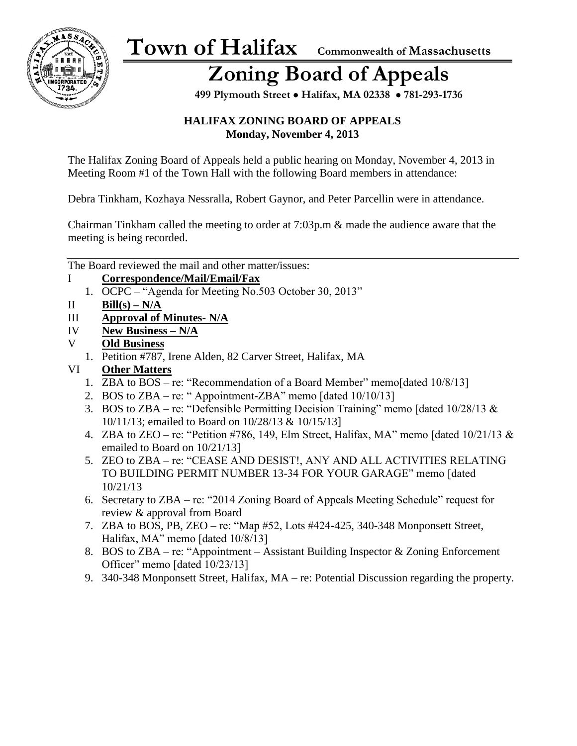

# **Zoning Board of Appeals**

 **499 Plymouth Street** • **Halifax, MA 02338** • **781-293-1736**

#### **HALIFAX ZONING BOARD OF APPEALS Monday, November 4, 2013**

The Halifax Zoning Board of Appeals held a public hearing on Monday, November 4, 2013 in Meeting Room #1 of the Town Hall with the following Board members in attendance:

Debra Tinkham, Kozhaya Nessralla, Robert Gaynor, and Peter Parcellin were in attendance.

Chairman Tinkham called the meeting to order at 7:03p.m & made the audience aware that the meeting is being recorded.

The Board reviewed the mail and other matter/issues:

- I **Correspondence/Mail/Email/Fax** 
	- 1. OCPC "Agenda for Meeting No.503 October 30, 2013"
- II **Bill**(s)  $N/A$
- III **Approval of Minutes- N/A**
- IV **New Business – N/A**
- V **Old Business** 
	- 1. Petition #787, Irene Alden, 82 Carver Street, Halifax, MA
- VI **Other Matters**
	- 1. ZBA to BOS re: "Recommendation of a Board Member" memo[dated 10/8/13]
	- 2. BOS to  $ZBA re:$  "Appointment-ZBA" memo [dated  $10/10/13$ ]
	- 3. BOS to ZBA re: "Defensible Permitting Decision Training" memo [dated  $10/28/13 \&$ 10/11/13; emailed to Board on 10/28/13 & 10/15/13]
	- 4. ZBA to ZEO re: "Petition #786, 149, Elm Street, Halifax, MA" memo [dated  $10/21/13 \&$ emailed to Board on 10/21/13]
	- 5. ZEO to ZBA re: "CEASE AND DESIST!, ANY AND ALL ACTIVITIES RELATING TO BUILDING PERMIT NUMBER 13-34 FOR YOUR GARAGE" memo [dated 10/21/13
	- 6. Secretary to ZBA re: "2014 Zoning Board of Appeals Meeting Schedule" request for review & approval from Board
	- 7. ZBA to BOS, PB, ZEO re: "Map #52, Lots #424-425, 340-348 Monponsett Street, Halifax, MA" memo [dated 10/8/13]
	- 8. BOS to ZBA re: "Appointment Assistant Building Inspector & Zoning Enforcement Officer" memo [dated 10/23/13]
	- 9. 340-348 Monponsett Street, Halifax, MA re: Potential Discussion regarding the property.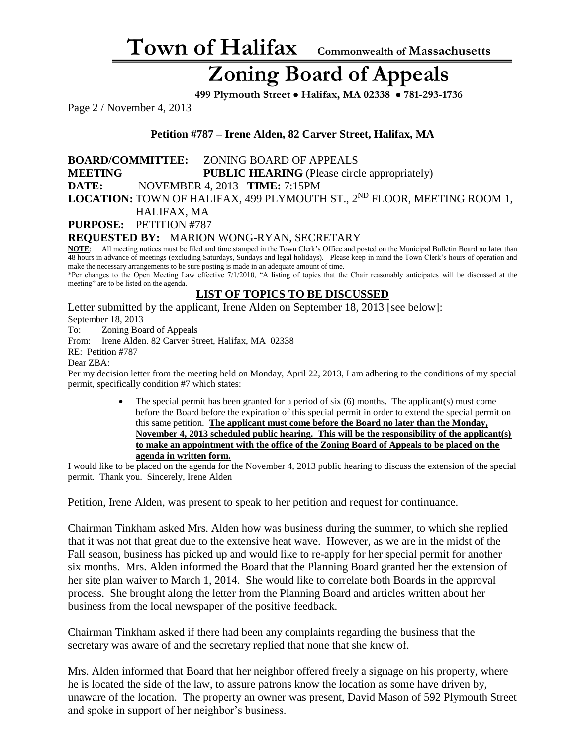### **Zoning Board of Appeals**

 **499 Plymouth Street** • **Halifax, MA 02338** • **781-293-1736**

Page 2 / November 4, 2013

**Petition #787 – Irene Alden, 82 Carver Street, Halifax, MA**

**BOARD/COMMITTEE:** ZONING BOARD OF APPEALS **MEETING PUBLIC HEARING** (Please circle appropriately) **DATE:** NOVEMBER 4, 2013 **TIME:** 7:15PM LOCATION: TOWN OF HALIFAX, 499 PLYMOUTH ST., 2<sup>ND</sup> FLOOR, MEETING ROOM 1, HALIFAX, MA

**PURPOSE:** PETITION #787

**REQUESTED BY:** MARION WONG-RYAN, SECRETARY NOTE: All meeting notices must be filed and time stamped in the Town Clerk's Office and po

All meeting notices must be filed and time stamped in the Town Clerk's Office and posted on the Municipal Bulletin Board no later than 48 hours in advance of meetings (excluding Saturdays, Sundays and legal holidays). Please keep in mind the Town Clerk's hours of operation and make the necessary arrangements to be sure posting is made in an adequate amount of time.

\*Per changes to the Open Meeting Law effective 7/1/2010, "A listing of topics that the Chair reasonably anticipates will be discussed at the meeting" are to be listed on the agenda.

#### **LIST OF TOPICS TO BE DISCUSSED**

Letter submitted by the applicant, Irene Alden on September 18, 2013 [see below]: September 18, 2013

To: Zoning Board of Appeals From: Irene Alden. 82 Carver Street, Halifax, MA 02338 RE: Petition #787

#### Dear ZBA:

Per my decision letter from the meeting held on Monday, April 22, 2013, I am adhering to the conditions of my special permit, specifically condition #7 which states:

> • The special permit has been granted for a period of six (6) months. The applicant(s) must come before the Board before the expiration of this special permit in order to extend the special permit on this same petition. **The applicant must come before the Board no later than the Monday, November 4, 2013 scheduled public hearing. This will be the responsibility of the applicant(s) to make an appointment with the office of the Zoning Board of Appeals to be placed on the agenda in written form.**

I would like to be placed on the agenda for the November 4, 2013 public hearing to discuss the extension of the special permit. Thank you. Sincerely, Irene Alden

Petition, Irene Alden, was present to speak to her petition and request for continuance.

Chairman Tinkham asked Mrs. Alden how was business during the summer, to which she replied that it was not that great due to the extensive heat wave. However, as we are in the midst of the Fall season, business has picked up and would like to re-apply for her special permit for another six months. Mrs. Alden informed the Board that the Planning Board granted her the extension of her site plan waiver to March 1, 2014. She would like to correlate both Boards in the approval process. She brought along the letter from the Planning Board and articles written about her business from the local newspaper of the positive feedback.

Chairman Tinkham asked if there had been any complaints regarding the business that the secretary was aware of and the secretary replied that none that she knew of.

Mrs. Alden informed that Board that her neighbor offered freely a signage on his property, where he is located the side of the law, to assure patrons know the location as some have driven by, unaware of the location. The property an owner was present, David Mason of 592 Plymouth Street and spoke in support of her neighbor's business.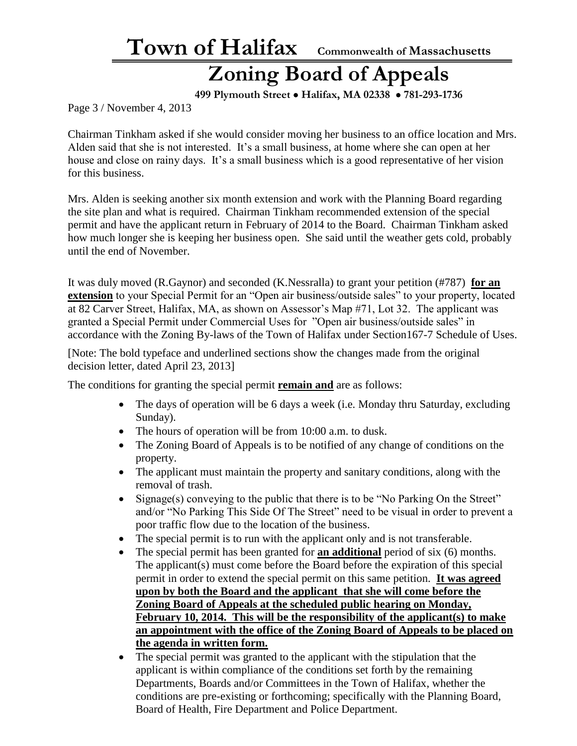## **Zoning Board of Appeals**

 **499 Plymouth Street** • **Halifax, MA 02338** • **781-293-1736**

Page 3 / November 4, 2013

Chairman Tinkham asked if she would consider moving her business to an office location and Mrs. Alden said that she is not interested. It's a small business, at home where she can open at her house and close on rainy days. It's a small business which is a good representative of her vision for this business.

Mrs. Alden is seeking another six month extension and work with the Planning Board regarding the site plan and what is required. Chairman Tinkham recommended extension of the special permit and have the applicant return in February of 2014 to the Board. Chairman Tinkham asked how much longer she is keeping her business open. She said until the weather gets cold, probably until the end of November.

It was duly moved (R.Gaynor) and seconded (K.Nessralla) to grant your petition (#787) **for an extension** to your Special Permit for an "Open air business/outside sales" to your property, located at 82 Carver Street, Halifax, MA, as shown on Assessor's Map #71, Lot 32. The applicant was granted a Special Permit under Commercial Uses for "Open air business/outside sales" in accordance with the Zoning By-laws of the Town of Halifax under Section167-7 Schedule of Uses.

[Note: The bold typeface and underlined sections show the changes made from the original decision letter, dated April 23, 2013]

The conditions for granting the special permit **remain and** are as follows:

- The days of operation will be 6 days a week (i.e. Monday thru Saturday, excluding Sunday).
- The hours of operation will be from 10:00 a.m. to dusk.
- The Zoning Board of Appeals is to be notified of any change of conditions on the property.
- The applicant must maintain the property and sanitary conditions, along with the removal of trash.
- Signage(s) conveying to the public that there is to be "No Parking On the Street" and/or "No Parking This Side Of The Street" need to be visual in order to prevent a poor traffic flow due to the location of the business.
- The special permit is to run with the applicant only and is not transferable.
- The special permit has been granted for **an additional** period of six (6) months. The applicant(s) must come before the Board before the expiration of this special permit in order to extend the special permit on this same petition. **It was agreed upon by both the Board and the applicant that she will come before the Zoning Board of Appeals at the scheduled public hearing on Monday, February 10, 2014. This will be the responsibility of the applicant(s) to make an appointment with the office of the Zoning Board of Appeals to be placed on the agenda in written form.**
- The special permit was granted to the applicant with the stipulation that the applicant is within compliance of the conditions set forth by the remaining Departments, Boards and/or Committees in the Town of Halifax, whether the conditions are pre-existing or forthcoming; specifically with the Planning Board, Board of Health, Fire Department and Police Department.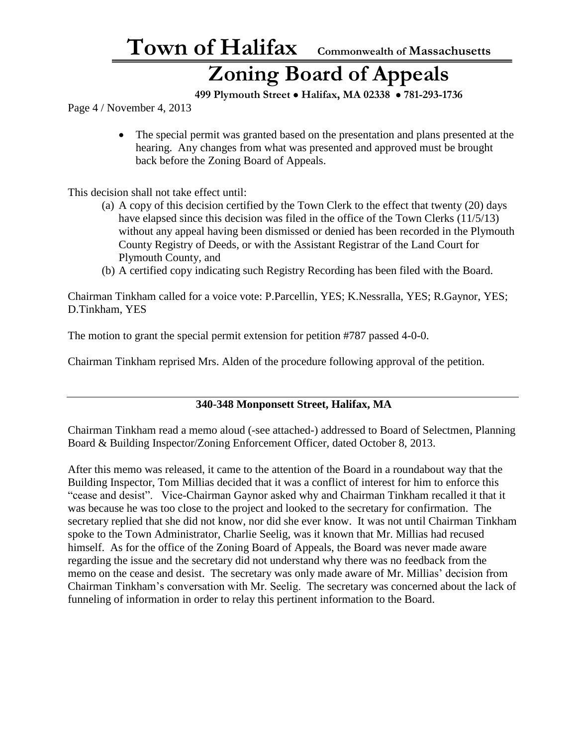### **Zoning Board of Appeals**

 **499 Plymouth Street** • **Halifax, MA 02338** • **781-293-1736**

Page 4 / November 4, 2013

• The special permit was granted based on the presentation and plans presented at the hearing. Any changes from what was presented and approved must be brought back before the Zoning Board of Appeals.

This decision shall not take effect until:

- (a) A copy of this decision certified by the Town Clerk to the effect that twenty (20) days have elapsed since this decision was filed in the office of the Town Clerks (11/5/13) without any appeal having been dismissed or denied has been recorded in the Plymouth County Registry of Deeds, or with the Assistant Registrar of the Land Court for Plymouth County, and
- (b) A certified copy indicating such Registry Recording has been filed with the Board.

Chairman Tinkham called for a voice vote: P.Parcellin, YES; K.Nessralla, YES; R.Gaynor, YES; D.Tinkham, YES

The motion to grant the special permit extension for petition #787 passed 4-0-0.

Chairman Tinkham reprised Mrs. Alden of the procedure following approval of the petition.

#### **340-348 Monponsett Street, Halifax, MA**

Chairman Tinkham read a memo aloud (-see attached-) addressed to Board of Selectmen, Planning Board & Building Inspector/Zoning Enforcement Officer, dated October 8, 2013.

After this memo was released, it came to the attention of the Board in a roundabout way that the Building Inspector, Tom Millias decided that it was a conflict of interest for him to enforce this "cease and desist". Vice-Chairman Gaynor asked why and Chairman Tinkham recalled it that it was because he was too close to the project and looked to the secretary for confirmation. The secretary replied that she did not know, nor did she ever know. It was not until Chairman Tinkham spoke to the Town Administrator, Charlie Seelig, was it known that Mr. Millias had recused himself. As for the office of the Zoning Board of Appeals, the Board was never made aware regarding the issue and the secretary did not understand why there was no feedback from the memo on the cease and desist. The secretary was only made aware of Mr. Millias' decision from Chairman Tinkham's conversation with Mr. Seelig. The secretary was concerned about the lack of funneling of information in order to relay this pertinent information to the Board.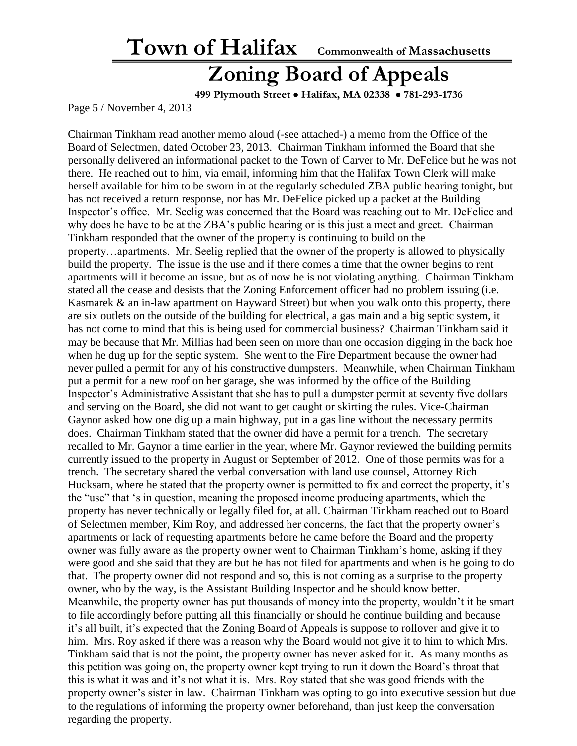#### **Zoning Board of Appeals**

 **499 Plymouth Street** • **Halifax, MA 02338** • **781-293-1736**

Page 5 / November 4, 2013

Chairman Tinkham read another memo aloud (-see attached-) a memo from the Office of the Board of Selectmen, dated October 23, 2013. Chairman Tinkham informed the Board that she personally delivered an informational packet to the Town of Carver to Mr. DeFelice but he was not there. He reached out to him, via email, informing him that the Halifax Town Clerk will make herself available for him to be sworn in at the regularly scheduled ZBA public hearing tonight, but has not received a return response, nor has Mr. DeFelice picked up a packet at the Building Inspector's office. Mr. Seelig was concerned that the Board was reaching out to Mr. DeFelice and why does he have to be at the ZBA's public hearing or is this just a meet and greet. Chairman Tinkham responded that the owner of the property is continuing to build on the property…apartments. Mr. Seelig replied that the owner of the property is allowed to physically build the property. The issue is the use and if there comes a time that the owner begins to rent apartments will it become an issue, but as of now he is not violating anything. Chairman Tinkham stated all the cease and desists that the Zoning Enforcement officer had no problem issuing (i.e. Kasmarek & an in-law apartment on Hayward Street) but when you walk onto this property, there are six outlets on the outside of the building for electrical, a gas main and a big septic system, it has not come to mind that this is being used for commercial business? Chairman Tinkham said it may be because that Mr. Millias had been seen on more than one occasion digging in the back hoe when he dug up for the septic system. She went to the Fire Department because the owner had never pulled a permit for any of his constructive dumpsters. Meanwhile, when Chairman Tinkham put a permit for a new roof on her garage, she was informed by the office of the Building Inspector's Administrative Assistant that she has to pull a dumpster permit at seventy five dollars and serving on the Board, she did not want to get caught or skirting the rules. Vice-Chairman Gaynor asked how one dig up a main highway, put in a gas line without the necessary permits does. Chairman Tinkham stated that the owner did have a permit for a trench. The secretary recalled to Mr. Gaynor a time earlier in the year, where Mr. Gaynor reviewed the building permits currently issued to the property in August or September of 2012. One of those permits was for a trench. The secretary shared the verbal conversation with land use counsel, Attorney Rich Hucksam, where he stated that the property owner is permitted to fix and correct the property, it's the "use" that 's in question, meaning the proposed income producing apartments, which the property has never technically or legally filed for, at all. Chairman Tinkham reached out to Board of Selectmen member, Kim Roy, and addressed her concerns, the fact that the property owner's apartments or lack of requesting apartments before he came before the Board and the property owner was fully aware as the property owner went to Chairman Tinkham's home, asking if they were good and she said that they are but he has not filed for apartments and when is he going to do that. The property owner did not respond and so, this is not coming as a surprise to the property owner, who by the way, is the Assistant Building Inspector and he should know better. Meanwhile, the property owner has put thousands of money into the property, wouldn't it be smart to file accordingly before putting all this financially or should he continue building and because it's all built, it's expected that the Zoning Board of Appeals is suppose to rollover and give it to him. Mrs. Roy asked if there was a reason why the Board would not give it to him to which Mrs. Tinkham said that is not the point, the property owner has never asked for it. As many months as this petition was going on, the property owner kept trying to run it down the Board's throat that this is what it was and it's not what it is. Mrs. Roy stated that she was good friends with the property owner's sister in law. Chairman Tinkham was opting to go into executive session but due to the regulations of informing the property owner beforehand, than just keep the conversation regarding the property.